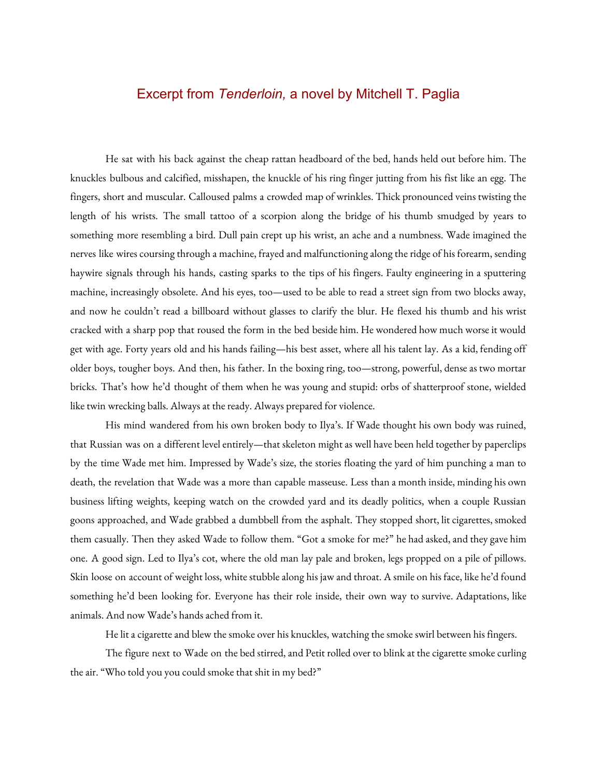## Excerpt from *Tenderloin,* a novel by Mitchell T. Paglia

He sat with his back against the cheap rattan headboard of the bed, hands held out before him. The knuckles bulbous and calcified, misshapen, the knuckle of his ring finger jutting from his fist like an egg. The fingers, short and muscular. Calloused palms a crowded map of wrinkles. Thick pronounced veins twisting the length of his wrists. The small tattoo of a scorpion along the bridge of his thumb smudged by years to something more resembling a bird. Dull pain crept up his wrist, an ache and a numbness. Wade imagined the nerves like wires coursing through a machine, frayed and malfunctioning along the ridge of his forearm, sending haywire signals through his hands, casting sparks to the tips of his fingers. Faulty engineering in a sputtering machine, increasingly obsolete. And his eyes, too—used to be able to read a street sign from two blocks away, and now he couldn't read a billboard without glasses to clarify the blur. He flexed his thumb and his wrist cracked with a sharp pop that roused the form in the bed beside him. He wondered how much worse it would get with age. Forty years old and his hands failing—his best asset, where all his talent lay. As a kid, fending off older boys, tougher boys. And then, his father. In the boxing ring, too-strong, powerful, dense as two mortar bricks. That's how he'd thought of them when he was young and stupid: orbs of shatterproof stone, wielded like twin wrecking balls. Always at the ready. Always prepared for violence.

His mind wandered from his own broken body to Ilya's. If Wade thought his own body was ruined, that Russian was on a different level entirely—that skeleton might as well have been held together by paperclips by the time Wade met him. Impressed by Wade's size, the stories floating the yard of him punching a man to death, the revelation that Wade was a more than capable masseuse. Less than a month inside, minding his own business lifting weights, keeping watch on the crowded yard and its deadly politics, when a couple Russian goons approached, and Wade grabbed a dumbbell from the asphalt. They stopped short, lit cigarettes, smoked them casually. Then they asked Wade to follow them. "Got a smoke for me?" he had asked, and they gave him one. A good sign. Led to Ilya's cot, where the old man lay pale and broken, legs propped on a pile of pillows. Skin loose on account of weight loss, white stubble along his jaw and throat. A smile on his face, like he'd found something he'd been looking for. Everyone has their role inside, their own way to survive. Adaptations, like animals. And now Wade's hands ached from it.

He lit a cigarette and blew the smoke over his knuckles, watching the smoke swirl between his fingers.

The figure next to Wade on the bed stirred, and Petit rolled over to blink at the cigarette smoke curling the air. "Who told you you could smoke that shit in my bed?"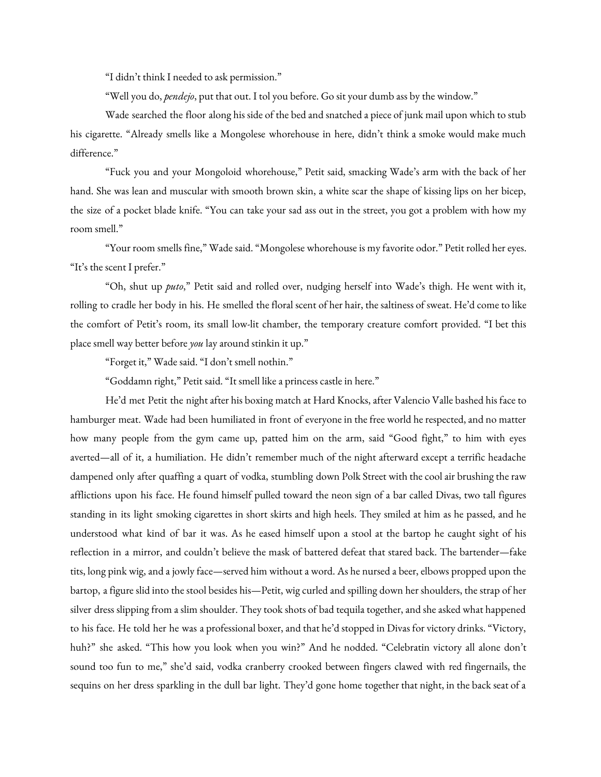"I didn't think I needed to ask permission."

"Well you do, *pendejo*, put that out. I tol you before. Go sit your dumb ass by the window."

Wade searched the floor along his side of the bed and snatched a piece of junk mail upon which to stub his cigarette. "Already smells like a Mongolese whorehouse in here, didn't think a smoke would make much difference."

"Fuck you and your Mongoloid whorehouse," Petit said, smacking Wade's arm with the back of her hand. She was lean and muscular with smooth brown skin, a white scar the shape of kissing lips on her bicep, the size of a pocket blade knife. "You can take your sad ass out in the street, you got a problem with how my room smell."

"Your room smells fine," Wade said. "Mongolese whorehouse is my favorite odor." Petit rolled her eyes. "It's the scent I prefer."

"Oh, shut up *puto*," Petit said and rolled over, nudging herself into Wade's thigh. He went with it, rolling to cradle her body in his. He smelled the floral scent of her hair, the saltiness of sweat. He'd come to like the comfort of Petit's room, its small low-lit chamber, the temporary creature comfort provided. "I bet this place smell way better before *you* lay around stinkin it up."

"Forget it," Wade said. "I don't smell nothin."

"Goddamn right," Petit said. "It smell like a princess castle in here."

He'd met Petit the night after his boxing match at Hard Knocks, after Valencio Valle bashed his face to hamburger meat. Wade had been humiliated in front of everyone in the free world he respected, and no matter how many people from the gym came up, patted him on the arm, said "Good fight," to him with eyes averted—all of it, a humiliation. He didn't remember much of the night afterward except a terrific headache dampened only after quaffing a quart of vodka, stumbling down Polk Street with the cool air brushing the raw afflictions upon his face. He found himself pulled toward the neon sign of a bar called Divas, two tall figures standing in its light smoking cigarettes in short skirts and high heels. They smiled at him as he passed, and he understood what kind of bar it was. As he eased himself upon a stool at the bartop he caught sight of his reflection in a mirror, and couldn't believe the mask of battered defeat that stared back. The bartender—fake tits, long pink wig, and a jowly face—served him without a word. As he nursed a beer, elbows propped upon the bartop, a figure slid into the stool besides his—Petit, wig curled and spilling down her shoulders, the strap of her silver dress slipping from a slim shoulder. They took shots of bad tequila together, and she asked what happened to his face. He told her he was a professional boxer, and that he'd stopped in Divas for victory drinks. "Victory, huh?" she asked. "This how you look when you win?" And he nodded. "Celebratin victory all alone don't sound too fun to me," she'd said, vodka cranberry crooked between fingers clawed with red fingernails, the sequins on her dress sparkling in the dull bar light. They'd gone home together that night, in the back seat ofa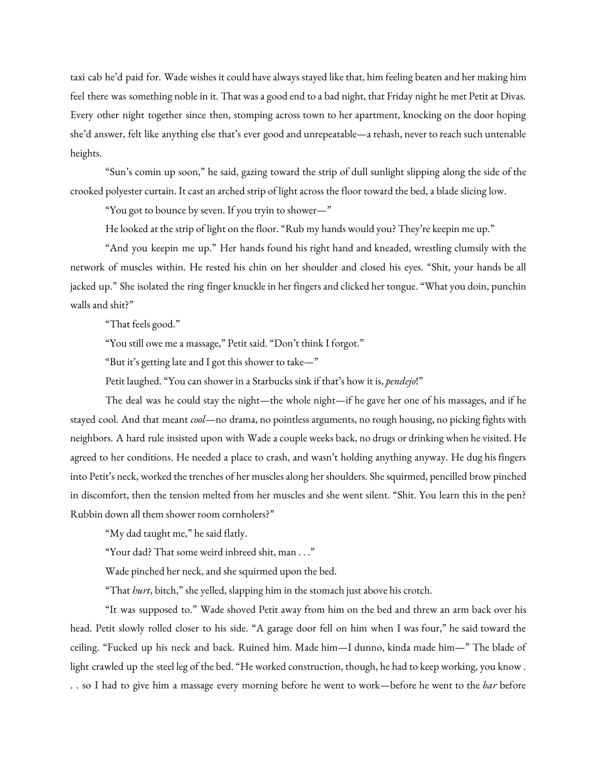taxi cab he'd paid for. Wade wishes it could have always stayed like that, him feeling beaten and her making him feel there was something noble in it. That was a good end to a bad night, that Friday night he met Petit at Divas. Every other night together since then, stomping across town to her apartment, knocking on the door hoping she'd answer, felt like anything else that's ever good and unrepeatable—arehash, never to reach such untenable heights.

"Sun's comin up soon," he said, gazing toward the strip of dull sunlight slipping along the side of the crooked polyester curtain. It cast an arched strip of light across the floor toward the bed, a blade slicing low.

"You got to bounce by seven. If you tryin to shower—"

He looked at the strip of light on the floor. "Rub my hands would you? They're keepin me up."

"And you keepin me up." Her hands found his right hand and kneaded, wrestling clumsily with the network of muscles within. He rested his chin on her shoulder and closed his eyes. "Shit, your hands be all jacked up." She isolated the ring finger knuckle in her fingers and clicked her tongue. "What you doin, punchin walls and shit?"

"That feels good."

"You still owe me a massage," Petit said. "Don't think I forgot."

"But it's getting late and I got this shower to take—"

Petit laughed. "You can shower in a Starbucks sink if that's how it is, *pendejo*!"

The deal was he could stay the night—the whole night—if he gave her one of his massages, and if he stayed cool. And that meant *cool*—no drama, no pointlessarguments, no rough housing, no picking fights with neighbors. A hard rule insisted upon with Wadea couple weeks back, no drugs or drinking when he visited. He agreed to her conditions. He needed a place to crash, and wasn't holding anything anyway. He dug his fingers into Petit's neck, worked the trenches of her musclesalong her shoulders. She squirmed, pencilled brow pinched in discomfort, then the tension melted from her muscles and she went silent. "Shit. You learn this in the pen? Rubbin down all them shower room cornholers?"

"My dad taught me," he said flatly.

"Your dad? That some weird inbreed shit, man . . ."

Wade pinched her neck, and she squirmed upon the bed.

"That *hurt*, bitch," she yelled, slapping him in the stomach just above his crotch.

"It was supposed to." Wade shoved Petit away from him on the bed and threw an arm back over his head. Petit slowly rolled closer to his side. "A garage door fell on him when I was four," he said toward the ceiling. "Fucked up his neck and back. Ruined him. Made him—I dunno, kinda made him—" The blade of light crawled up the steel leg of the bed. "He worked construction, though, he had to keep working, you know . . . so I had to give him a massage every morning before he went to work—before he went to the *bar* before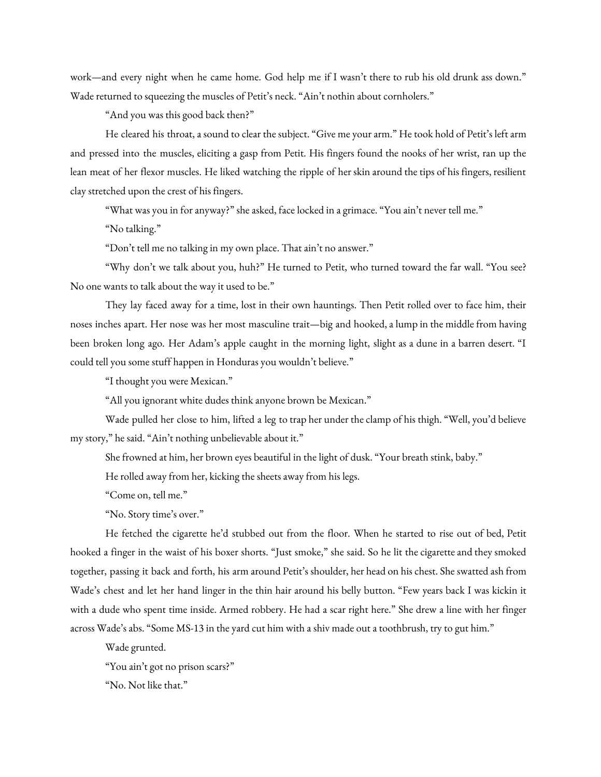work—and every night when he came home. God help me if I wasn't there to rub his old drunk ass down." Wade returned to squeezing the muscles of Petit's neck. "Ain't nothin about cornholers."

"And you was this good back then?"

He cleared his throat, a sound to clear the subject. "Give me your arm." He took hold of Petit's left arm and pressed into the muscles, eliciting a gasp from Petit. His fingers found the nooks of her wrist, ran up the lean meat of her flexor muscles. He liked watching the ripple of her skin around the tips of his fingers, resilient clay stretched upon the crest of his fingers.

"What was you in for anyway?" she asked, face locked in a grimace. "You ain't never tell me."

"No talking."

"Don't tell me no talking in my own place. That ain't no answer."

"Why don't we talk about you, huh?" He turned to Petit, who turned toward the far wall. "You see? No one wants to talk about the way it used to be."

They lay faced away for a time, lost in their own hauntings. Then Petit rolled over to face him, their noses inches apart. Her nose was her most masculine trait—big and hooked, a lump in the middle from having been broken long ago. Her Adam's apple caught in the morning light, slight as a dune in a barren desert. "I could tell you some stuff happen in Honduras you wouldn't believe."

"I thought you were Mexican."

"All you ignorant white dudes think anyone brown be Mexican."

Wade pulled her close to him, lifted a leg to trap her under the clamp of his thigh. "Well, you'd believe my story," he said. "Ain't nothing unbelievable about it."

She frowned at him, her brown eyes beautiful in the light of dusk. "Your breath stink, baby."

He rolled away from her, kicking the sheets away from his legs.

"Come on, tell me."

"No. Story time's over."

He fetched the cigarette he'd stubbed out from the floor. When he started to rise out of bed, Petit hooked a finger in the waist of his boxer shorts. "Just smoke," she said. So he lit the cigarette and they smoked together, passing it back and forth, his arm around Petit's shoulder, her head on his chest. She swatted ash from Wade's chest and let her hand linger in the thin hair around his belly button. "Few years back I was kickin it with a dude who spent time inside. Armed robbery. He had a scar right here." She drew a line with her finger across Wade's abs. "Some MS-13 in the yard cut him with a shiv made out a toothbrush, try to gut him."

Wade grunted.

"You ain't got no prison scars?"

"No. Not like that."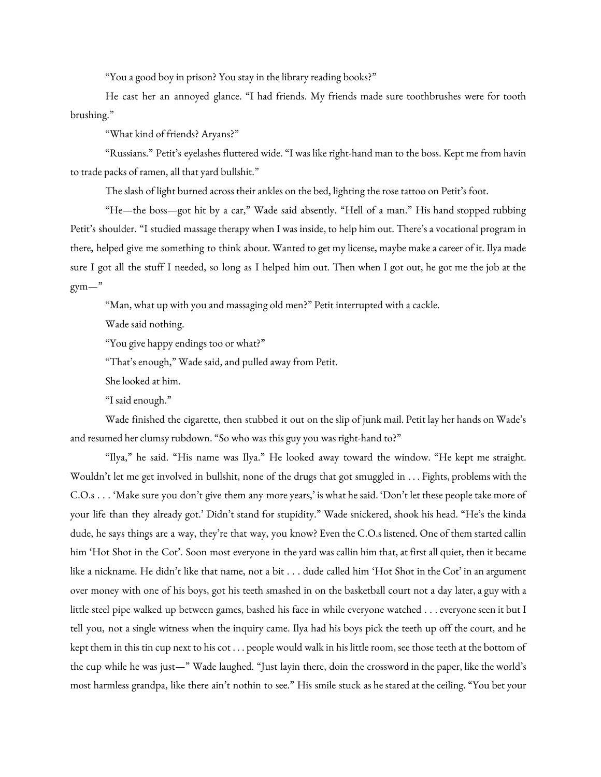"You a good boy in prison? You stay in the library reading books?"

He cast her an annoyed glance. "I had friends. My friends made sure toothbrushes were for tooth brushing."

"What kind of friends? Aryans?"

"Russians." Petit's eyelashes fluttered wide. "I was like right-hand man to the boss. Kept me from havin to trade packs of ramen, all that yard bullshit."

The slash of light burned across their ankles on the bed, lighting the rose tattoo on Petit's foot.

"He—the boss—got hit by a car," Wade said absently. "Hell of a man." His hand stopped rubbing Petit's shoulder. "I studied massage therapy when I was inside, to help him out. There's a vocational program in there, helped give me something to think about. Wanted to get my license, maybe make a career of it. Ilya made sure I got all the stuff I needed, so long as I helped him out. Then when I got out, he got me the job at the  $gym-$ "

"Man, what up with you and massaging old men?" Petit interrupted with a cackle.

Wade said nothing.

"You give happy endings too or what?"

"That's enough," Wade said, and pulled away from Petit.

She looked at him.

"I said enough."

Wade finished the cigarette, then stubbed it out on the slip of junk mail. Petit lay her hands on Wade's and resumed her clumsy rubdown. "So who was this guy you was right-hand to?"

"Ilya," he said. "His name was Ilya." He looked away toward the window. "He kept me straight. Wouldn't let me get involved in bullshit, none of the drugs that got smuggled in . . . Fights, problems with the C.O.s . . . 'Make sure you don't give them any more years,' is what he said. 'Don't let these people take more of your life than they already got.' Didn't stand for stupidity." Wade snickered, shook his head. "He's the kinda dude, he says things are a way, they're that way, you know? Even the C.O.s listened. One of them started callin him 'Hot Shot in the Cot'. Soon most everyone in the yard was callin him that, at first all quiet, then it became like a nickname. He didn't like that name, not a bit . . . dude called him 'Hot Shot in the Cot' in an argument over money with one of his boys, got his teeth smashed in on the basketball court not a day later, a guy with a little steel pipe walked up between games, bashed his face in while everyone watched . . . everyone seen it but I tell you, not a single witness when the inquiry came. Ilya had his boys pick the teeth up off the court, and he kept them in this tin cup next to his cot . . . people would walk in his little room, see those teeth at the bottom of the cup while he was just—" Wade laughed. "Just layin there, doin the crossword in the paper, like the world's most harmless grandpa, like there ain't nothin to see." His smile stuck as he stared at the ceiling. "You bet your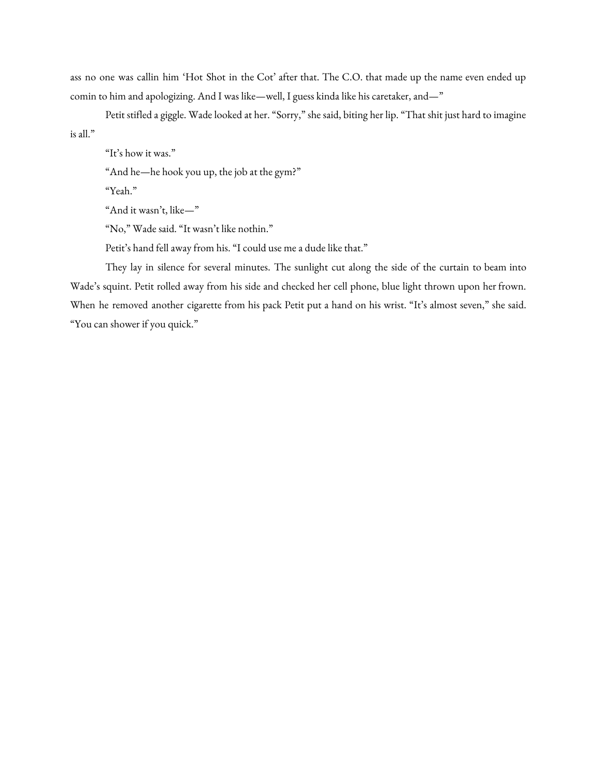ass no one was callin him 'Hot Shot in the Cot' after that. The C.O. that made up the name even ended up comin to him and apologizing. And I was like—well, I guess kinda like his caretaker, and—"

Petit stifled a giggle. Wade looked at her. "Sorry," she said, biting her lip. "That shit just hard to imagine is all."

"It's how it was."

"And he—he hook you up, the job at the gym?"

"Yeah."

"And it wasn't, like—"

"No," Wade said. "It wasn't like nothin."

Petit's hand fell away from his. "I could use me a dude like that."

They lay in silence for several minutes. The sunlight cut along the side of the curtain to beam into Wade's squint. Petit rolled away from his side and checked her cell phone, blue light thrown upon her frown. When he removed another cigarette from his pack Petit put a hand on his wrist. "It's almost seven," she said. "You can shower if you quick."